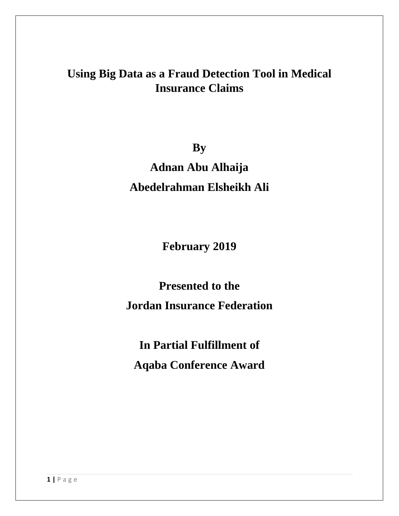# **Using Big Data as a Fraud Detection Tool in Medical Insurance Claims**

**By**

**Adnan Abu Alhaija Abedelrahman Elsheikh Ali**

**February 2019**

**Presented to the Jordan Insurance Federation**

**In Partial Fulfillment of Aqaba Conference Award**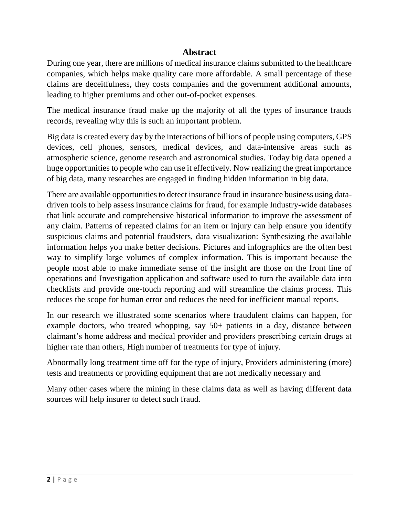#### **Abstract**

<span id="page-1-0"></span>During one year, there are millions of medical insurance claims submitted to the healthcare companies, which helps make quality care more affordable. A small percentage of these claims are deceitfulness, they costs companies and the government additional amounts, leading to higher premiums and other out-of-pocket expenses.

The medical insurance fraud make up the majority of all the types of insurance frauds records, revealing why this is such an important problem.

Big data is created every day by the interactions of billions of people using computers, GPS devices, cell phones, sensors, medical devices, and data-intensive areas such as atmospheric science, genome research and astronomical studies. Today big data opened a huge opportunities to people who can use it effectively. Now realizing the great importance of big data, many researches are engaged in finding hidden information in big data.

There are available opportunities to detect insurance fraud in insurance business using datadriven tools to help assess insurance claims for fraud, for example Industry-wide databases that link accurate and comprehensive historical information to improve the assessment of any claim. Patterns of repeated claims for an item or injury can help ensure you identify suspicious claims and potential fraudsters, data visualization: Synthesizing the available information helps you make better decisions. Pictures and infographics are the often best way to simplify large volumes of complex information. This is important because the people most able to make immediate sense of the insight are those on the front line of operations and Investigation application and software used to turn the available data into checklists and provide one-touch reporting and will streamline the claims process. This reduces the scope for human error and reduces the need for inefficient manual reports.

In our research we illustrated some scenarios where fraudulent claims can happen, for example doctors, who treated whopping, say 50+ patients in a day, distance between claimant's home address and medical provider and providers prescribing certain drugs at higher rate than others, High number of treatments for type of injury.

Abnormally long treatment time off for the type of injury, Providers administering (more) tests and treatments or providing equipment that are not medically necessary and

Many other cases where the mining in these claims data as well as having different data sources will help insurer to detect such fraud.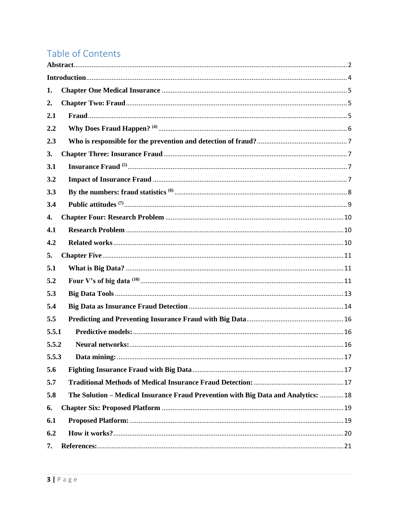# Table of Contents

| 1.    |                                                                                    |  |
|-------|------------------------------------------------------------------------------------|--|
| 2.    |                                                                                    |  |
| 2.1   |                                                                                    |  |
| 2.2   |                                                                                    |  |
| 2.3   |                                                                                    |  |
| 3.    |                                                                                    |  |
| 3.1   |                                                                                    |  |
| 3.2   |                                                                                    |  |
| 3.3   |                                                                                    |  |
| 3.4   |                                                                                    |  |
| 4.    |                                                                                    |  |
| 4.1   |                                                                                    |  |
| 4.2   |                                                                                    |  |
| 5.    |                                                                                    |  |
| 5.1   |                                                                                    |  |
| 5.2   |                                                                                    |  |
| 5.3   |                                                                                    |  |
| 5.4   |                                                                                    |  |
| 5.5   |                                                                                    |  |
| 5.5.1 |                                                                                    |  |
| 5.5.2 |                                                                                    |  |
| 5.5.3 |                                                                                    |  |
| 5.6   |                                                                                    |  |
| 5.7   |                                                                                    |  |
| 5.8   | The Solution - Medical Insurance Fraud Prevention with Big Data and Analytics:  18 |  |
| 6.    |                                                                                    |  |
| 6.1   |                                                                                    |  |
| 6.2   |                                                                                    |  |
| 7.    |                                                                                    |  |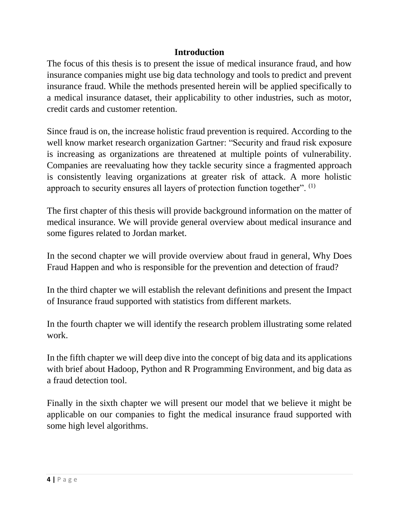#### **Introduction**

<span id="page-3-0"></span>The focus of this thesis is to present the issue of medical insurance fraud, and how insurance companies might use big data technology and tools to predict and prevent insurance fraud. While the methods presented herein will be applied specifically to a medical insurance dataset, their applicability to other industries, such as motor, credit cards and customer retention.

Since fraud is on, the increase holistic fraud prevention is required. According to the well know market research organization Gartner: "Security and fraud risk exposure is increasing as organizations are threatened at multiple points of vulnerability. Companies are reevaluating how they tackle security since a fragmented approach is consistently leaving organizations at greater risk of attack. A more holistic approach to security ensures all layers of protection function together". (1)

The first chapter of this thesis will provide background information on the matter of medical insurance. We will provide general overview about medical insurance and some figures related to Jordan market.

In the second chapter we will provide overview about fraud in general, Why Does Fraud Happen and who is responsible for the prevention and detection of fraud?

In the third chapter we will establish the relevant definitions and present the Impact of Insurance fraud supported with statistics from different markets.

In the fourth chapter we will identify the research problem illustrating some related work.

In the fifth chapter we will deep dive into the concept of big data and its applications with brief about Hadoop, Python and R Programming Environment, and big data as a fraud detection tool.

Finally in the sixth chapter we will present our model that we believe it might be applicable on our companies to fight the medical insurance fraud supported with some high level algorithms.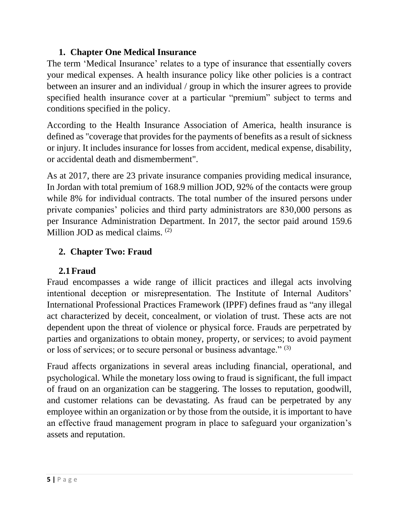## **1. Chapter One Medical Insurance**

<span id="page-4-0"></span>The term 'Medical Insurance' relates to a type of insurance that essentially covers your medical expenses. A health insurance policy like other policies is a contract between an insurer and an individual / group in which the insurer agrees to provide specified health insurance cover at a particular "premium" subject to terms and conditions specified in the policy.

According to the Health Insurance Association of America, health insurance is defined as "coverage that provides for the payments of benefits as a result of sickness or injury. It includes insurance for losses from accident, medical expense, disability, or accidental death and dismemberment".

As at 2017, there are 23 private insurance companies providing medical insurance, In Jordan with total premium of 168.9 million JOD, 92% of the contacts were group while 8% for individual contracts. The total number of the insured persons under private companies' policies and third party administrators are 830,000 persons as per Insurance Administration Department. In 2017, the sector paid around 159.6 Million JOD as medical claims. <sup>(2)</sup>

## <span id="page-4-1"></span>**2. Chapter Two: Fraud**

#### <span id="page-4-2"></span>**2.1Fraud**

Fraud encompasses a wide range of illicit practices and illegal acts involving intentional deception or misrepresentation. The Institute of Internal Auditors' International Professional Practices Framework (IPPF) defines fraud as "any illegal act characterized by deceit, concealment, or violation of trust. These acts are not dependent upon the threat of violence or physical force. Frauds are perpetrated by parties and organizations to obtain money, property, or services; to avoid payment or loss of services; or to secure personal or business advantage." (3)

Fraud affects organizations in several areas including financial, operational, and psychological. While the monetary loss owing to fraud is significant, the full impact of fraud on an organization can be staggering. The losses to reputation, goodwill, and customer relations can be devastating. As fraud can be perpetrated by any employee within an organization or by those from the outside, it is important to have an effective fraud management program in place to safeguard your organization's assets and reputation.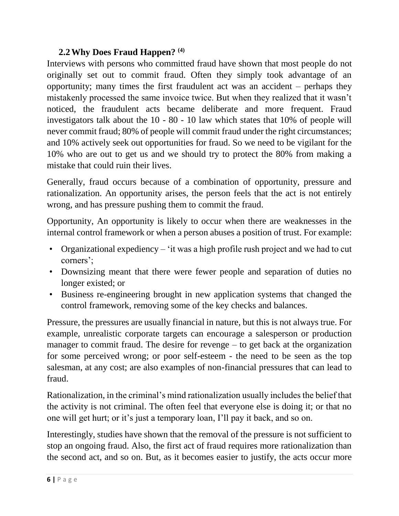#### **2.2Why Does Fraud Happen? (4)**

<span id="page-5-0"></span>Interviews with persons who committed fraud have shown that most people do not originally set out to commit fraud. Often they simply took advantage of an opportunity; many times the first fraudulent act was an accident – perhaps they mistakenly processed the same invoice twice. But when they realized that it wasn't noticed, the fraudulent acts became deliberate and more frequent. Fraud investigators talk about the 10 - 80 - 10 law which states that 10% of people will never commit fraud; 80% of people will commit fraud under the right circumstances; and 10% actively seek out opportunities for fraud. So we need to be vigilant for the 10% who are out to get us and we should try to protect the 80% from making a mistake that could ruin their lives.

Generally, fraud occurs because of a combination of opportunity, pressure and rationalization. An opportunity arises, the person feels that the act is not entirely wrong, and has pressure pushing them to commit the fraud.

Opportunity, An opportunity is likely to occur when there are weaknesses in the internal control framework or when a person abuses a position of trust. For example:

- Organizational expediency 'it was a high profile rush project and we had to cut corners';
- Downsizing meant that there were fewer people and separation of duties no longer existed; or
- Business re-engineering brought in new application systems that changed the control framework, removing some of the key checks and balances.

Pressure, the pressures are usually financial in nature, but this is not always true. For example, unrealistic corporate targets can encourage a salesperson or production manager to commit fraud. The desire for revenge – to get back at the organization for some perceived wrong; or poor self-esteem - the need to be seen as the top salesman, at any cost; are also examples of non-financial pressures that can lead to fraud.

Rationalization, in the criminal's mind rationalization usually includes the belief that the activity is not criminal. The often feel that everyone else is doing it; or that no one will get hurt; or it's just a temporary loan, I'll pay it back, and so on.

Interestingly, studies have shown that the removal of the pressure is not sufficient to stop an ongoing fraud. Also, the first act of fraud requires more rationalization than the second act, and so on. But, as it becomes easier to justify, the acts occur more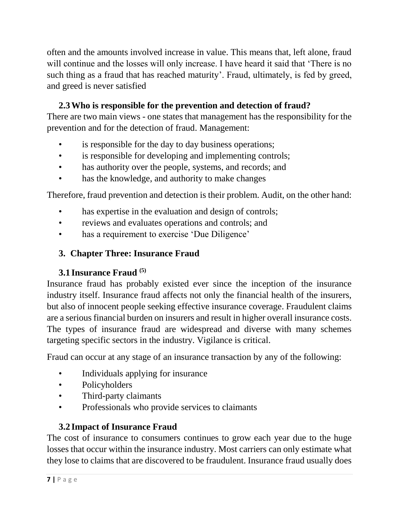often and the amounts involved increase in value. This means that, left alone, fraud will continue and the losses will only increase. I have heard it said that 'There is no such thing as a fraud that has reached maturity'. Fraud, ultimately, is fed by greed, and greed is never satisfied

# <span id="page-6-0"></span>**2.3Who is responsible for the prevention and detection of fraud?**

There are two main views - one states that management has the responsibility for the prevention and for the detection of fraud. Management:

- is responsible for the day to day business operations;
- is responsible for developing and implementing controls;
- has authority over the people, systems, and records; and
- has the knowledge, and authority to make changes

Therefore, fraud prevention and detection is their problem. Audit, on the other hand:

- has expertise in the evaluation and design of controls;
- reviews and evaluates operations and controls; and
- has a requirement to exercise 'Due Diligence'

## <span id="page-6-1"></span>**3. Chapter Three: Insurance Fraud**

## <span id="page-6-2"></span>**3.1 Insurance Fraud (5)**

Insurance fraud has probably existed ever since the inception of the insurance industry itself. Insurance fraud affects not only the financial health of the insurers, but also of innocent people seeking effective insurance coverage. Fraudulent claims are a serious financial burden on insurers and result in higher overall insurance costs. The types of insurance fraud are widespread and diverse with many schemes targeting specific sectors in the industry. Vigilance is critical.

Fraud can occur at any stage of an insurance transaction by any of the following:

- Individuals applying for insurance
- Policyholders
- Third-party claimants
- Professionals who provide services to claimants

## <span id="page-6-3"></span>**3.2 Impact of Insurance Fraud**

The cost of insurance to consumers continues to grow each year due to the huge losses that occur within the insurance industry. Most carriers can only estimate what they lose to claims that are discovered to be fraudulent. Insurance fraud usually does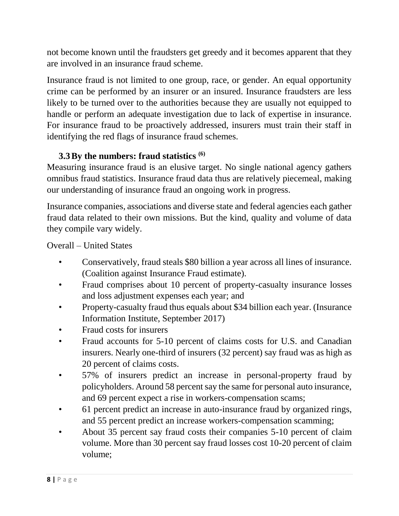not become known until the fraudsters get greedy and it becomes apparent that they are involved in an insurance fraud scheme.

Insurance fraud is not limited to one group, race, or gender. An equal opportunity crime can be performed by an insurer or an insured. Insurance fraudsters are less likely to be turned over to the authorities because they are usually not equipped to handle or perform an adequate investigation due to lack of expertise in insurance. For insurance fraud to be proactively addressed, insurers must train their staff in identifying the red flags of insurance fraud schemes.

#### **3.3By the numbers: fraud statistics (6)**

<span id="page-7-0"></span>Measuring insurance fraud is an elusive target. No single national agency gathers omnibus fraud statistics. Insurance fraud data thus are relatively piecemeal, making our understanding of insurance fraud an ongoing work in progress.

Insurance companies, associations and diverse state and federal agencies each gather fraud data related to their own missions. But the kind, quality and volume of data they compile vary widely.

Overall – United States

- Conservatively, fraud steals \$80 billion a year across all lines of insurance. (Coalition against Insurance Fraud estimate).
- Fraud comprises about 10 percent of property-casualty insurance losses and loss adjustment expenses each year; and
- Property-casualty fraud thus equals about \$34 billion each year. (Insurance Information Institute, September 2017)
- Fraud costs for insurers
- Fraud accounts for 5-10 percent of claims costs for U.S. and Canadian insurers. Nearly one-third of insurers (32 percent) say fraud was as high as 20 percent of claims costs.
- 57% of insurers predict an increase in personal-property fraud by policyholders. Around 58 percent say the same for personal auto insurance, and 69 percent expect a rise in workers-compensation scams;
- 61 percent predict an increase in auto-insurance fraud by organized rings, and 55 percent predict an increase workers-compensation scamming;
- About 35 percent say fraud costs their companies 5-10 percent of claim volume. More than 30 percent say fraud losses cost 10-20 percent of claim volume;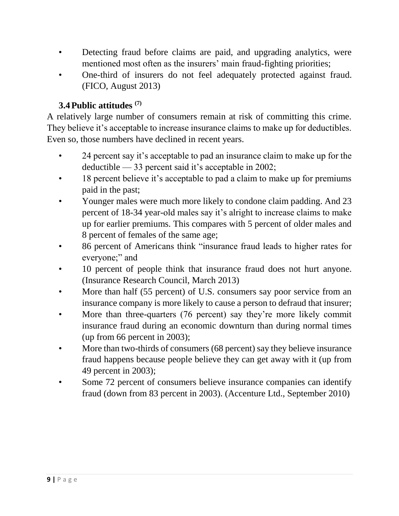- Detecting fraud before claims are paid, and upgrading analytics, were mentioned most often as the insurers' main fraud-fighting priorities;
- One-third of insurers do not feel adequately protected against fraud. (FICO, August 2013)

## <span id="page-8-0"></span>**3.4Public attitudes (7)**

A relatively large number of consumers remain at risk of committing this crime. They believe it's acceptable to increase insurance claims to make up for deductibles. Even so, those numbers have declined in recent years.

- 24 percent say it's acceptable to pad an insurance claim to make up for the deductible — 33 percent said it's acceptable in 2002;
- 18 percent believe it's acceptable to pad a claim to make up for premiums paid in the past;
- Younger males were much more likely to condone claim padding. And 23 percent of 18-34 year-old males say it's alright to increase claims to make up for earlier premiums. This compares with 5 percent of older males and 8 percent of females of the same age;
- 86 percent of Americans think "insurance fraud leads to higher rates for everyone;" and
- 10 percent of people think that insurance fraud does not hurt anyone. (Insurance Research Council, March 2013)
- More than half (55 percent) of U.S. consumers say poor service from an insurance company is more likely to cause a person to defraud that insurer;
- More than three-quarters (76 percent) say they're more likely commit insurance fraud during an economic downturn than during normal times (up from 66 percent in 2003);
- More than two-thirds of consumers (68 percent) say they believe insurance fraud happens because people believe they can get away with it (up from 49 percent in 2003);
- Some 72 percent of consumers believe insurance companies can identify fraud (down from 83 percent in 2003). (Accenture Ltd., September 2010)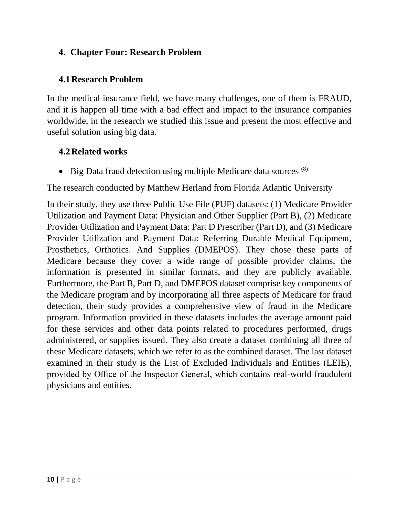#### <span id="page-9-0"></span>**4. Chapter Four: Research Problem**

#### <span id="page-9-1"></span>**4.1Research Problem**

In the medical insurance field, we have many challenges, one of them is FRAUD, and it is happen all time with a bad effect and impact to the insurance companies worldwide, in the research we studied this issue and present the most effective and useful solution using big data.

#### <span id="page-9-2"></span>**4.2Related works**

 $\bullet$  Big Data fraud detection using multiple Medicare data sources  $(8)$ 

The research conducted by Matthew Herland from Florida Atlantic University

In their study, they use three Public Use File (PUF) datasets: (1) Medicare Provider Utilization and Payment Data: Physician and Other Supplier (Part B), (2) Medicare Provider Utilization and Payment Data: Part D Prescriber (Part D), and (3) Medicare Provider Utilization and Payment Data: Referring Durable Medical Equipment, Prosthetics, Orthotics. And Supplies (DMEPOS). They chose these parts of Medicare because they cover a wide range of possible provider claims, the information is presented in similar formats, and they are publicly available. Furthermore, the Part B, Part D, and DMEPOS dataset comprise key components of the Medicare program and by incorporating all three aspects of Medicare for fraud detection, their study provides a comprehensive view of fraud in the Medicare program. Information provided in these datasets includes the average amount paid for these services and other data points related to procedures performed, drugs administered, or supplies issued. They also create a dataset combining all three of these Medicare datasets, which we refer to as the combined dataset. The last dataset examined in their study is the List of Excluded Individuals and Entities (LEIE), provided by Office of the Inspector General, which contains real-world fraudulent physicians and entities.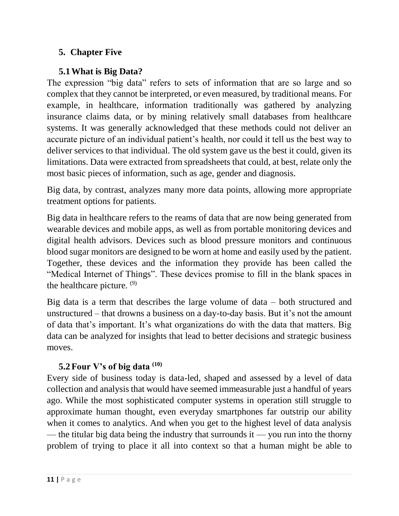#### <span id="page-10-0"></span>**5. Chapter Five**

#### <span id="page-10-1"></span>**5.1What is Big Data?**

The expression "big data" refers to sets of information that are so large and so complex that they cannot be interpreted, or even measured, by traditional means. For example, in healthcare, information traditionally was gathered by analyzing insurance claims data, or by mining relatively small databases from healthcare systems. It was generally acknowledged that these methods could not deliver an accurate picture of an individual patient's health, nor could it tell us the best way to deliver services to that individual. The old system gave us the best it could, given its limitations. Data were extracted from spreadsheets that could, at best, relate only the most basic pieces of information, such as age, gender and diagnosis.

Big data, by contrast, analyzes many more data points, allowing more appropriate treatment options for patients.

Big data in healthcare refers to the reams of data that are now being generated from wearable devices and mobile apps, as well as from portable monitoring devices and digital health advisors. Devices such as blood pressure monitors and continuous blood sugar monitors are designed to be worn at home and easily used by the patient. Together, these devices and the information they provide has been called the "Medical Internet of Things". These devices promise to fill in the blank spaces in the healthcare picture. (9)

Big data is a term that describes the large volume of data – both structured and unstructured – that drowns a business on a day-to-day basis. But it's not the amount of data that's important. It's what organizations do with the data that matters. Big data can be analyzed for insights that lead to better decisions and strategic business moves.

#### <span id="page-10-2"></span>**5.2Four V's of big data (10)**

Every side of business today is data-led, shaped and assessed by a level of data collection and analysis that would have seemed immeasurable just a handful of years ago. While the most sophisticated computer systems in operation still struggle to approximate human thought, even everyday smartphones far outstrip our ability when it comes to analytics. And when you get to the highest level of data analysis — the titular big data being the industry that surrounds it — you run into the thorny problem of trying to place it all into context so that a human might be able to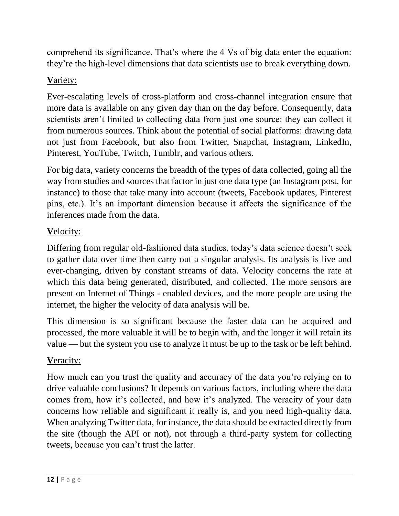comprehend its significance. That's where the 4 Vs of big data enter the equation: they're the high-level dimensions that data scientists use to break everything down.

## **V**ariety:

Ever-escalating levels of cross-platform and cross-channel integration ensure that more data is available on any given day than on the day before. Consequently, data scientists aren't limited to collecting data from just one source: they can collect it from numerous sources. Think about the potential of social platforms: drawing data not just from Facebook, but also from Twitter, Snapchat, Instagram, LinkedIn, Pinterest, YouTube, Twitch, Tumblr, and various others.

For big data, variety concerns the breadth of the types of data collected, going all the way from studies and sources that factor in just one data type (an Instagram post, for instance) to those that take many into account (tweets, Facebook updates, Pinterest pins, etc.). It's an important dimension because it affects the significance of the inferences made from the data.

## **V**elocity:

Differing from regular old-fashioned data studies, today's data science doesn't seek to gather data over time then carry out a singular analysis. Its analysis is live and ever-changing, driven by constant streams of data. Velocity concerns the rate at which this data being generated, distributed, and collected. The more sensors are present on Internet of Things - enabled devices, and the more people are using the internet, the higher the velocity of data analysis will be.

This dimension is so significant because the faster data can be acquired and processed, the more valuable it will be to begin with, and the longer it will retain its value — but the system you use to analyze it must be up to the task or be left behind.

## **V**eracity:

How much can you trust the quality and accuracy of the data you're relying on to drive valuable conclusions? It depends on various factors, including where the data comes from, how it's collected, and how it's analyzed. The veracity of your data concerns how reliable and significant it really is, and you need high-quality data. When analyzing Twitter data, for instance, the data should be extracted directly from the site (though the API or not), not through a third-party system for collecting tweets, because you can't trust the latter.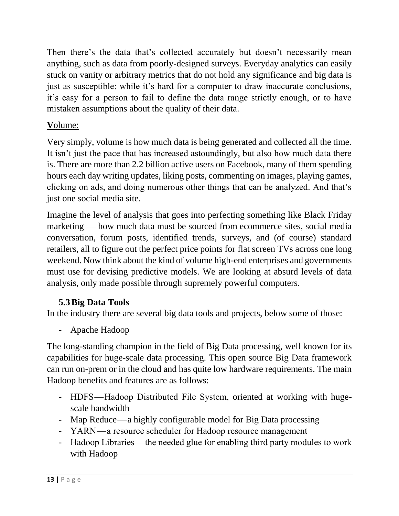Then there's the data that's collected accurately but doesn't necessarily mean anything, such as data from poorly-designed surveys. Everyday analytics can easily stuck on vanity or arbitrary metrics that do not hold any significance and big data is just as susceptible: while it's hard for a computer to draw inaccurate conclusions, it's easy for a person to fail to define the data range strictly enough, or to have mistaken assumptions about the quality of their data.

## **V**olume:

Very simply, volume is how much data is being generated and collected all the time. It isn't just the pace that has increased astoundingly, but also how much data there is. There are more than 2.2 billion active users on Facebook, many of them spending hours each day writing updates, liking posts, commenting on images, playing games, clicking on ads, and doing numerous other things that can be analyzed. And that's just one social media site.

Imagine the level of analysis that goes into perfecting something like Black Friday marketing — how much data must be sourced from ecommerce sites, social media conversation, forum posts, identified trends, surveys, and (of course) standard retailers, all to figure out the perfect price points for flat screen TVs across one long weekend. Now think about the kind of volume high-end enterprises and governments must use for devising predictive models. We are looking at absurd levels of data analysis, only made possible through supremely powerful computers.

## <span id="page-12-0"></span>**5.3Big Data Tools**

In the industry there are several big data tools and projects, below some of those:

- Apache Hadoop

The long-standing champion in the field of Big Data processing, well known for its capabilities for huge-scale data processing. This open source Big Data framework can run on-prem or in the cloud and has quite low hardware requirements. The main Hadoop benefits and features are as follows:

- HDFS—Hadoop Distributed File System, oriented at working with hugescale bandwidth
- Map Reduce—a highly configurable model for Big Data processing
- YARN—a resource scheduler for Hadoop resource management
- Hadoop Libraries—the needed glue for enabling third party modules to work with Hadoop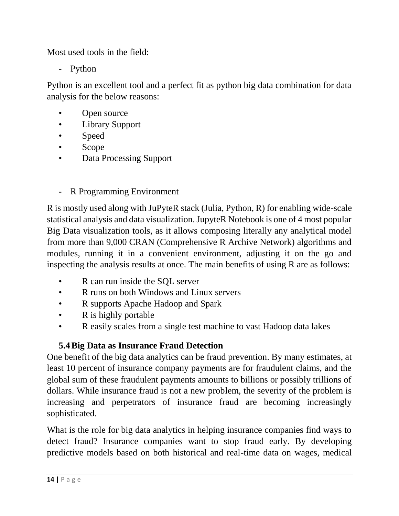Most used tools in the field:

**Python** 

Python is an excellent tool and a perfect fit as python big data combination for data analysis for the below reasons:

- Open source
- **Library Support**
- Speed
- Scope
- Data Processing Support
- R Programming Environment

R is mostly used along with JuPyteR stack (Julia, Python, R) for enabling wide-scale statistical analysis and data visualization. JupyteR Notebook is one of 4 most popular Big Data visualization tools, as it allows composing literally any analytical model from more than 9,000 CRAN (Comprehensive R Archive Network) algorithms and modules, running it in a convenient environment, adjusting it on the go and inspecting the analysis results at once. The main benefits of using R are as follows:

- R can run inside the SQL server
- R runs on both Windows and Linux servers
- R supports Apache Hadoop and Spark
- R is highly portable
- R easily scales from a single test machine to vast Hadoop data lakes

## <span id="page-13-0"></span>**5.4Big Data as Insurance Fraud Detection**

One benefit of the big data analytics can be fraud prevention. By many estimates, at least 10 percent of insurance company payments are for fraudulent claims, and the global sum of these fraudulent payments amounts to billions or possibly trillions of dollars. While insurance fraud is not a new problem, the severity of the problem is increasing and perpetrators of insurance fraud are becoming increasingly sophisticated.

What is the role for big data analytics in helping insurance companies find ways to detect fraud? Insurance companies want to stop fraud early. By developing predictive models based on both historical and real-time data on wages, medical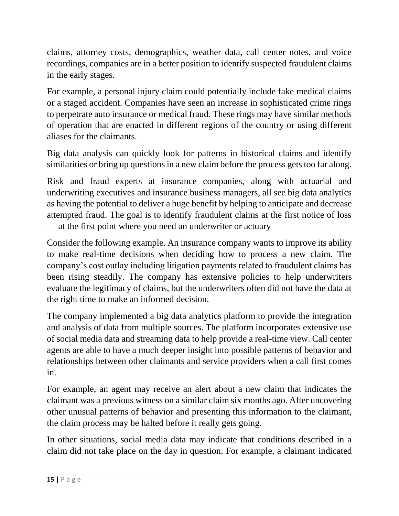claims, attorney costs, demographics, weather data, call center notes, and voice recordings, companies are in a better position to identify suspected fraudulent claims in the early stages.

For example, a personal injury claim could potentially include fake medical claims or a staged accident. Companies have seen an increase in sophisticated crime rings to perpetrate auto insurance or medical fraud. These rings may have similar methods of operation that are enacted in different regions of the country or using different aliases for the claimants.

Big data analysis can quickly look for patterns in historical claims and identify similarities or bring up questions in a new claim before the process gets too far along.

Risk and fraud experts at insurance companies, along with actuarial and underwriting executives and insurance business managers, all see big data analytics as having the potential to deliver a huge benefit by helping to anticipate and decrease attempted fraud. The goal is to identify fraudulent claims at the first notice of loss — at the first point where you need an underwriter or actuary

Consider the following example. An insurance company wants to improve its ability to make real-time decisions when deciding how to process a new claim. The company's cost outlay including litigation payments related to fraudulent claims has been rising steadily. The company has extensive policies to help underwriters evaluate the legitimacy of claims, but the underwriters often did not have the data at the right time to make an informed decision.

The company implemented a big data analytics platform to provide the integration and analysis of data from multiple sources. The platform incorporates extensive use of social media data and streaming data to help provide a real-time view. Call center agents are able to have a much deeper insight into possible patterns of behavior and relationships between other claimants and service providers when a call first comes in.

For example, an agent may receive an alert about a new claim that indicates the claimant was a previous witness on a similar claim six months ago. After uncovering other unusual patterns of behavior and presenting this information to the claimant, the claim process may be halted before it really gets going.

In other situations, social media data may indicate that conditions described in a claim did not take place on the day in question. For example, a claimant indicated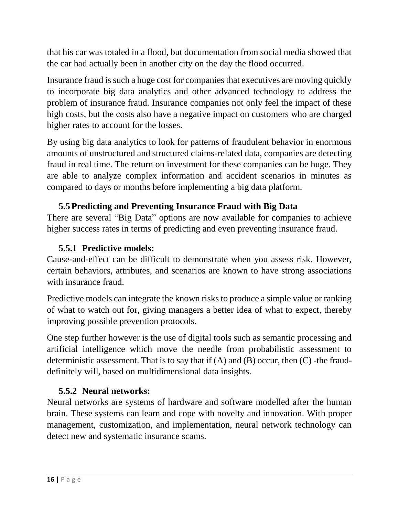that his car was totaled in a flood, but documentation from social media showed that the car had actually been in another city on the day the flood occurred.

Insurance fraud is such a huge cost for companies that executives are moving quickly to incorporate big data analytics and other advanced technology to address the problem of insurance fraud. Insurance companies not only feel the impact of these high costs, but the costs also have a negative impact on customers who are charged higher rates to account for the losses.

By using big data analytics to look for patterns of fraudulent behavior in enormous amounts of unstructured and structured claims-related data, companies are detecting fraud in real time. The return on investment for these companies can be huge. They are able to analyze complex information and accident scenarios in minutes as compared to days or months before implementing a big data platform.

## <span id="page-15-0"></span>**5.5Predicting and Preventing Insurance Fraud with Big Data**

There are several "Big Data" options are now available for companies to achieve higher success rates in terms of predicting and even preventing insurance fraud.

#### <span id="page-15-1"></span>**5.5.1 Predictive models:**

Cause-and-effect can be difficult to demonstrate when you assess risk. However, certain behaviors, attributes, and scenarios are known to have strong associations with insurance fraud.

Predictive models can integrate the known risks to produce a simple value or ranking of what to watch out for, giving managers a better idea of what to expect, thereby improving possible prevention protocols.

One step further however is the use of digital tools such as semantic processing and artificial intelligence which move the needle from probabilistic assessment to deterministic assessment. That is to say that if  $(A)$  and  $(B)$  occur, then  $(C)$  -the frauddefinitely will, based on multidimensional data insights.

#### <span id="page-15-2"></span>**5.5.2 Neural networks:**

Neural networks are systems of hardware and software modelled after the human brain. These systems can learn and cope with novelty and innovation. With proper management, customization, and implementation, neural network technology can detect new and systematic insurance scams.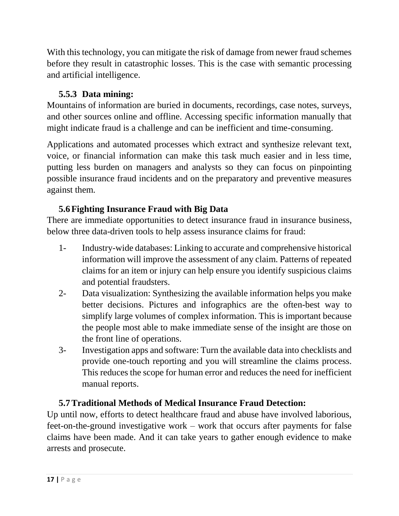With this technology, you can mitigate the risk of damage from newer fraud schemes before they result in catastrophic losses. This is the case with semantic processing and artificial intelligence.

# <span id="page-16-0"></span>**5.5.3 Data mining:**

Mountains of information are buried in documents, recordings, case notes, surveys, and other sources online and offline. Accessing specific information manually that might indicate fraud is a challenge and can be inefficient and time-consuming.

Applications and automated processes which extract and synthesize relevant text, voice, or financial information can make this task much easier and in less time, putting less burden on managers and analysts so they can focus on pinpointing possible insurance fraud incidents and on the preparatory and preventive measures against them.

# <span id="page-16-1"></span>**5.6Fighting Insurance Fraud with Big Data**

There are immediate opportunities to detect insurance fraud in insurance business, below three data-driven tools to help assess insurance claims for fraud:

- 1- Industry-wide databases: Linking to accurate and comprehensive historical information will improve the assessment of any claim. Patterns of repeated claims for an item or injury can help ensure you identify suspicious claims and potential fraudsters.
- 2- Data visualization: Synthesizing the available information helps you make better decisions. Pictures and infographics are the often-best way to simplify large volumes of complex information. This is important because the people most able to make immediate sense of the insight are those on the front line of operations.
- 3- Investigation apps and software: Turn the available data into checklists and provide one-touch reporting and you will streamline the claims process. This reduces the scope for human error and reduces the need for inefficient manual reports.

# **5.7Traditional Methods of Medical Insurance Fraud Detection:**

<span id="page-16-2"></span>Up until now, efforts to detect healthcare fraud and abuse have involved laborious, feet-on-the-ground investigative work – work that occurs after payments for false claims have been made. And it can take years to gather enough evidence to make arrests and prosecute.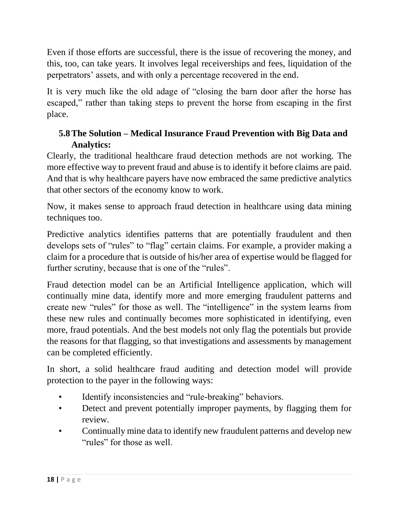Even if those efforts are successful, there is the issue of recovering the money, and this, too, can take years. It involves legal receiverships and fees, liquidation of the perpetrators' assets, and with only a percentage recovered in the end.

It is very much like the old adage of "closing the barn door after the horse has escaped," rather than taking steps to prevent the horse from escaping in the first place.

## <span id="page-17-0"></span>**5.8The Solution – Medical Insurance Fraud Prevention with Big Data and Analytics:**

Clearly, the traditional healthcare fraud detection methods are not working. The more effective way to prevent fraud and abuse is to identify it before claims are paid. And that is why healthcare payers have now embraced the same predictive analytics that other sectors of the economy know to work.

Now, it makes sense to approach fraud detection in healthcare using data mining techniques too.

Predictive analytics identifies patterns that are potentially fraudulent and then develops sets of "rules" to "flag" certain claims. For example, a provider making a claim for a procedure that is outside of his/her area of expertise would be flagged for further scrutiny, because that is one of the "rules".

Fraud detection model can be an Artificial Intelligence application, which will continually mine data, identify more and more emerging fraudulent patterns and create new "rules" for those as well. The "intelligence" in the system learns from these new rules and continually becomes more sophisticated in identifying, even more, fraud potentials. And the best models not only flag the potentials but provide the reasons for that flagging, so that investigations and assessments by management can be completed efficiently.

In short, a solid healthcare fraud auditing and detection model will provide protection to the payer in the following ways:

- Identify inconsistencies and "rule-breaking" behaviors.
- Detect and prevent potentially improper payments, by flagging them for review.
- Continually mine data to identify new fraudulent patterns and develop new "rules" for those as well.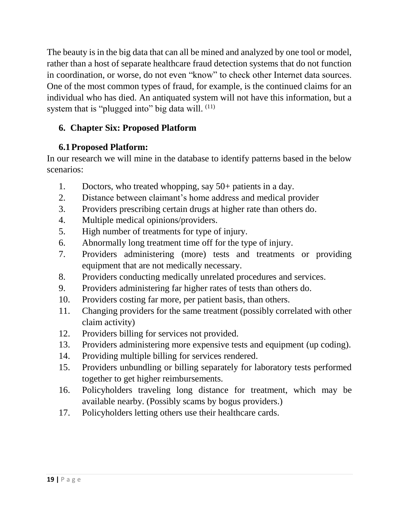The beauty is in the big data that can all be mined and analyzed by one tool or model, rather than a host of separate healthcare fraud detection systems that do not function in coordination, or worse, do not even "know" to check other Internet data sources. One of the most common types of fraud, for example, is the continued claims for an individual who has died. An antiquated system will not have this information, but a system that is "plugged into" big data will. (11)

## <span id="page-18-0"></span>**6. Chapter Six: Proposed Platform**

## <span id="page-18-1"></span>**6.1Proposed Platform:**

In our research we will mine in the database to identify patterns based in the below scenarios:

- 1. Doctors, who treated whopping, say 50+ patients in a day.
- 2. Distance between claimant's home address and medical provider
- 3. Providers prescribing certain drugs at higher rate than others do.
- 4. Multiple medical opinions/providers.
- 5. High number of treatments for type of injury.
- 6. Abnormally long treatment time off for the type of injury.
- 7. Providers administering (more) tests and treatments or providing equipment that are not medically necessary.
- 8. Providers conducting medically unrelated procedures and services.
- 9. Providers administering far higher rates of tests than others do.
- 10. Providers costing far more, per patient basis, than others.
- 11. Changing providers for the same treatment (possibly correlated with other claim activity)
- 12. Providers billing for services not provided.
- 13. Providers administering more expensive tests and equipment (up coding).
- 14. Providing multiple billing for services rendered.
- 15. Providers unbundling or billing separately for laboratory tests performed together to get higher reimbursements.
- 16. Policyholders traveling long distance for treatment, which may be available nearby. (Possibly scams by bogus providers.)
- 17. Policyholders letting others use their healthcare cards.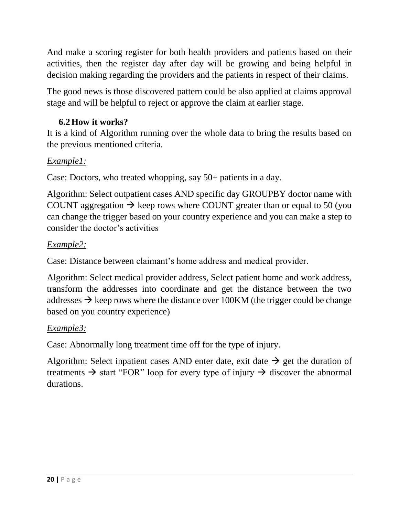And make a scoring register for both health providers and patients based on their activities, then the register day after day will be growing and being helpful in decision making regarding the providers and the patients in respect of their claims.

The good news is those discovered pattern could be also applied at claims approval stage and will be helpful to reject or approve the claim at earlier stage.

## <span id="page-19-0"></span>**6.2How it works?**

It is a kind of Algorithm running over the whole data to bring the results based on the previous mentioned criteria.

#### *Example1:*

Case: Doctors, who treated whopping, say 50+ patients in a day.

Algorithm: Select outpatient cases AND specific day GROUPBY doctor name with COUNT aggregation  $\rightarrow$  keep rows where COUNT greater than or equal to 50 (you can change the trigger based on your country experience and you can make a step to consider the doctor's activities

#### *Example2:*

Case: Distance between claimant's home address and medical provider.

Algorithm: Select medical provider address, Select patient home and work address, transform the addresses into coordinate and get the distance between the two addresses  $\rightarrow$  keep rows where the distance over 100KM (the trigger could be change based on you country experience)

#### *Example3:*

Case: Abnormally long treatment time off for the type of injury.

Algorithm: Select inpatient cases AND enter date, exit date  $\rightarrow$  get the duration of treatments  $\rightarrow$  start "FOR" loop for every type of injury  $\rightarrow$  discover the abnormal durations.